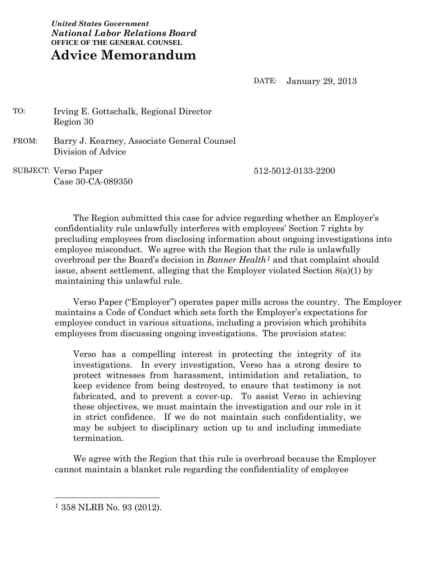*United States Government National Labor Relations Board* **OFFICE OF THE GENERAL COUNSEL Advice Memorandum**

DATE: January 29, 2013

 TO: Irving E. Gottschalk, Regional Director Region 30

 FROM: Barry J. Kearney, Associate General Counsel Division of Advice

 SUBJECT: Verso Paper Case 30-CA-089350 512-5012-0133-2200

The Region submitted this case for advice regarding whether an Employer's confidentiality rule unlawfully interferes with employees' Section 7 rights by precluding employees from disclosing information about ongoing investigations into employee misconduct. We agree with the Region that the rule is unlawfully overbroad per the Board's decision in *Banner Health1* and that complaint should issue, absent settlement, alleging that the Employer violated Section 8(a)(1) by maintaining this unlawful rule.

Verso Paper ("Employer") operates paper mills across the country. The Employer maintains a Code of Conduct which sets forth the Employer's expectations for employee conduct in various situations, including a provision which prohibits employees from discussing ongoing investigations. The provision states:

Verso has a compelling interest in protecting the integrity of its investigations. In every investigation, Verso has a strong desire to protect witnesses from harassment, intimidation and retaliation, to keep evidence from being destroyed, to ensure that testimony is not fabricated, and to prevent a cover-up. To assist Verso in achieving these objectives, we must maintain the investigation and our role in it in strict confidence. If we do not maintain such confidentiality, we may be subject to disciplinary action up to and including immediate termination.

We agree with the Region that this rule is overbroad because the Employer cannot maintain a blanket rule regarding the confidentiality of employee

 <sup>1</sup> 358 NLRB No. 93 (2012).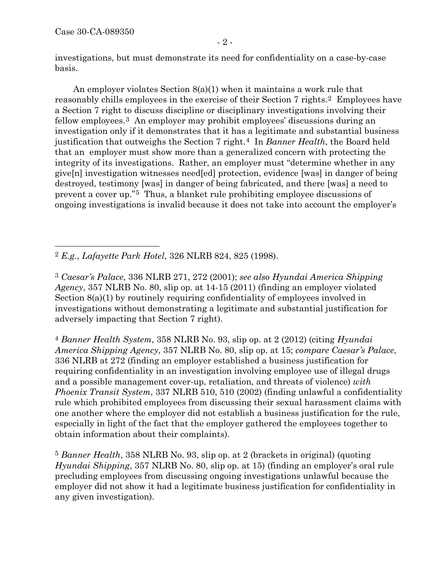investigations, but must demonstrate its need for confidentiality on a case-by-case basis.

An employer violates Section 8(a)(1) when it maintains a work rule that reasonably chills employees in the exercise of their Section 7 rights.2 Employees have a Section 7 right to discuss discipline or disciplinary investigations involving their fellow employees.3 An employer may prohibit employees' discussions during an investigation only if it demonstrates that it has a legitimate and substantial business justification that outweighs the Section 7 right.4 In *Banner Health*, the Board held that an employer must show more than a generalized concern with protecting the integrity of its investigations. Rather, an employer must "determine whether in any give[n] investigation witnesses need[ed] protection, evidence [was] in danger of being destroyed, testimony [was] in danger of being fabricated, and there [was] a need to prevent a cover up."5 Thus, a blanket rule prohibiting employee discussions of ongoing investigations is invalid because it does not take into account the employer's

2 *E.g.*, *Lafayette Park Hotel*, 326 NLRB 824, 825 (1998).

3 *Caesar's Palace*, 336 NLRB 271, 272 (2001); *see also Hyundai America Shipping Agency*, 357 NLRB No. 80, slip op. at 14-15 (2011) (finding an employer violated Section 8(a)(1) by routinely requiring confidentiality of employees involved in investigations without demonstrating a legitimate and substantial justification for adversely impacting that Section 7 right).

4 *Banner Health System*, 358 NLRB No. 93, slip op. at 2 (2012) (citing *Hyundai America Shipping Agency*, 357 NLRB No. 80, slip op. at 15; *compare Caesar's Palace*, 336 NLRB at 272 (finding an employer established a business justification for requiring confidentiality in an investigation involving employee use of illegal drugs and a possible management cover-up, retaliation, and threats of violence) *with Phoenix Transit System*, 337 NLRB 510, 510 (2002) (finding unlawful a confidentiality rule which prohibited employees from discussing their sexual harassment claims with one another where the employer did not establish a business justification for the rule, especially in light of the fact that the employer gathered the employees together to obtain information about their complaints).

5 *Banner Health*, 358 NLRB No. 93, slip op. at 2 (brackets in original) (quoting *Hyundai Shipping*, 357 NLRB No. 80, slip op. at 15) (finding an employer's oral rule precluding employees from discussing ongoing investigations unlawful because the employer did not show it had a legitimate business justification for confidentiality in any given investigation).